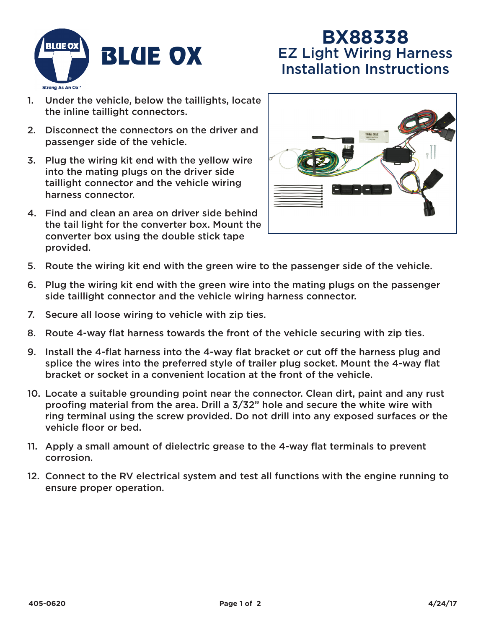

## **BX88338** EZ Light Wiring Harness Installation Instructions

- 1. Under the vehicle, below the taillights, locate the inline taillight connectors.
- 2. Disconnect the connectors on the driver and passenger side of the vehicle.
- 3. Plug the wiring kit end with the yellow wire into the mating plugs on the driver side taillight connector and the vehicle wiring harness connector.
- 4. Find and clean an area on driver side behind the tail light for the converter box. Mount the converter box using the double stick tape provided.



- 5. Route the wiring kit end with the green wire to the passenger side of the vehicle.
- 6. Plug the wiring kit end with the green wire into the mating plugs on the passenger side taillight connector and the vehicle wiring harness connector.
- 7. Secure all loose wiring to vehicle with zip ties.
- 8. Route 4-way flat harness towards the front of the vehicle securing with zip ties.
- 9. Install the 4-flat harness into the 4-way flat bracket or cut off the harness plug and splice the wires into the preferred style of trailer plug socket. Mount the 4-way flat bracket or socket in a convenient location at the front of the vehicle.
- 10. Locate a suitable grounding point near the connector. Clean dirt, paint and any rust proofing material from the area. Drill a 3/32" hole and secure the white wire with ring terminal using the screw provided. Do not drill into any exposed surfaces or the vehicle floor or bed.
- 11. Apply a small amount of dielectric grease to the 4-way flat terminals to prevent corrosion.
- 12. Connect to the RV electrical system and test all functions with the engine running to ensure proper operation.